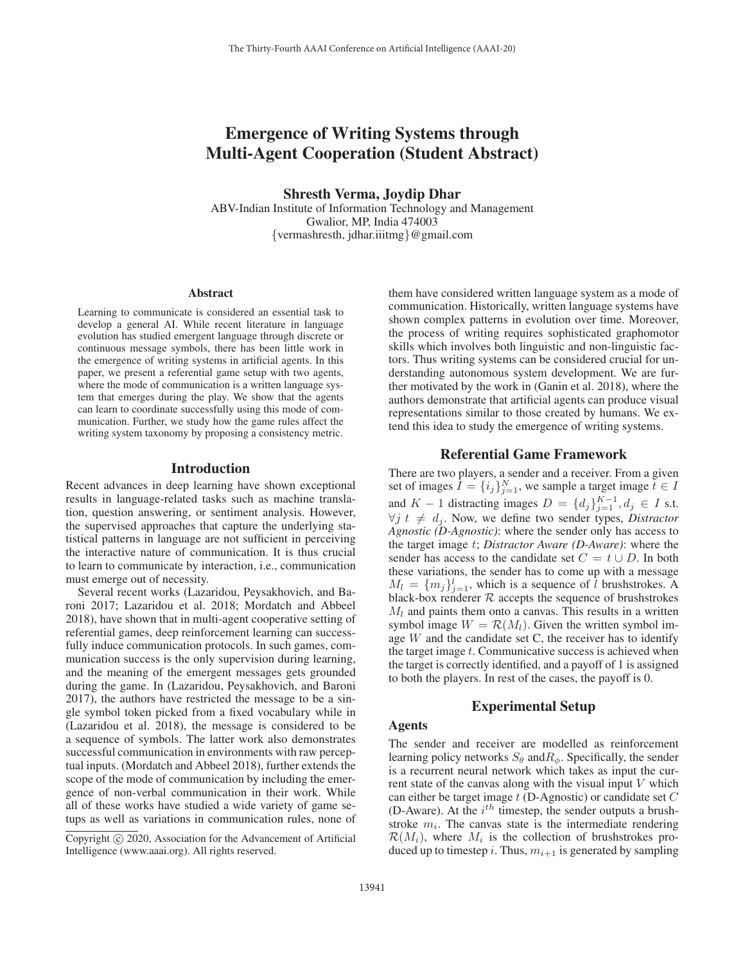# Emergence of Writing Systems through Multi-Agent Cooperation (Student Abstract)

Shresth Verma, Joydip Dhar

ABV-Indian Institute of Information Technology and Management Gwalior, MP, India 474003 {vermashresth, jdhar.iiitmg}@gmail.com

#### Abstract

Learning to communicate is considered an essential task to develop a general AI. While recent literature in language evolution has studied emergent language through discrete or continuous message symbols, there has been little work in the emergence of writing systems in artificial agents. In this paper, we present a referential game setup with two agents, where the mode of communication is a written language system that emerges during the play. We show that the agents can learn to coordinate successfully using this mode of communication. Further, we study how the game rules affect the writing system taxonomy by proposing a consistency metric.

## Introduction

Recent advances in deep learning have shown exceptional results in language-related tasks such as machine translation, question answering, or sentiment analysis. However, the supervised approaches that capture the underlying statistical patterns in language are not sufficient in perceiving the interactive nature of communication. It is thus crucial to learn to communicate by interaction, i.e., communication must emerge out of necessity.

Several recent works (Lazaridou, Peysakhovich, and Baroni 2017; Lazaridou et al. 2018; Mordatch and Abbeel 2018), have shown that in multi-agent cooperative setting of referential games, deep reinforcement learning can successfully induce communication protocols. In such games, communication success is the only supervision during learning, and the meaning of the emergent messages gets grounded during the game. In (Lazaridou, Peysakhovich, and Baroni 2017), the authors have restricted the message to be a single symbol token picked from a fixed vocabulary while in (Lazaridou et al. 2018), the message is considered to be a sequence of symbols. The latter work also demonstrates successful communication in environments with raw perceptual inputs. (Mordatch and Abbeel 2018), further extends the scope of the mode of communication by including the emergence of non-verbal communication in their work. While all of these works have studied a wide variety of game setups as well as variations in communication rules, none of

them have considered written language system as a mode of communication. Historically, written language systems have shown complex patterns in evolution over time. Moreover, the process of writing requires sophisticated graphomotor skills which involves both linguistic and non-linguistic factors. Thus writing systems can be considered crucial for understanding autonomous system development. We are further motivated by the work in (Ganin et al. 2018), where the authors demonstrate that artificial agents can produce visual representations similar to those created by humans. We extend this idea to study the emergence of writing systems.

# Referential Game Framework

There are two players, a sender and a receiver. From a given set of images  $I = \{i_j\}_{j=1}^N$ , we sample a target image  $t \in I$ and  $K - 1$  distracting images  $D = \{d_j\}_{j=1}^{K-1}, d_j \in I$  s.t.  $\forall j \ t \neq d_i$ . Now, we define two sender types, *Distractor Agnostic (D-Agnostic)*: where the sender only has access to the target image t; *Distractor Aware (D-Aware)*: where the sender has access to the candidate set  $C = t \cup D$ . In both these variations, the sender has to come up with a message  $M_l = \{m_j\}_{j=1}^l$ , which is a sequence of l brushstrokes. A black-box renderer  $R$  accepts the sequence of brushstrokes  $M_l$  and paints them onto a canvas. This results in a written symbol image  $W = \mathcal{R}(M_l)$ . Given the written symbol image  $W$  and the candidate set  $C$ , the receiver has to identify the target image  $t$ . Communicative success is achieved when the target is correctly identified, and a payoff of 1 is assigned to both the players. In rest of the cases, the payoff is 0.

## Experimental Setup

# Agents

The sender and receiver are modelled as reinforcement learning policy networks  $S_{\theta}$  and  $R_{\phi}$ . Specifically, the sender is a recurrent neural network which takes as input the current state of the canvas along with the visual input  $V$  which can either be target image  $t$  (D-Agnostic) or candidate set  $C$ (D-Aware). At the  $i^{th}$  timestep, the sender outputs a brushstroke  $m_i$ . The canvas state is the intermediate rendering  $\mathcal{R}(M_i)$ , where  $M_i$  is the collection of brushstrokes produced up to timestep i. Thus,  $m_{i+1}$  is generated by sampling

Copyright  $\odot$  2020, Association for the Advancement of Artificial Intelligence (www.aaai.org). All rights reserved.